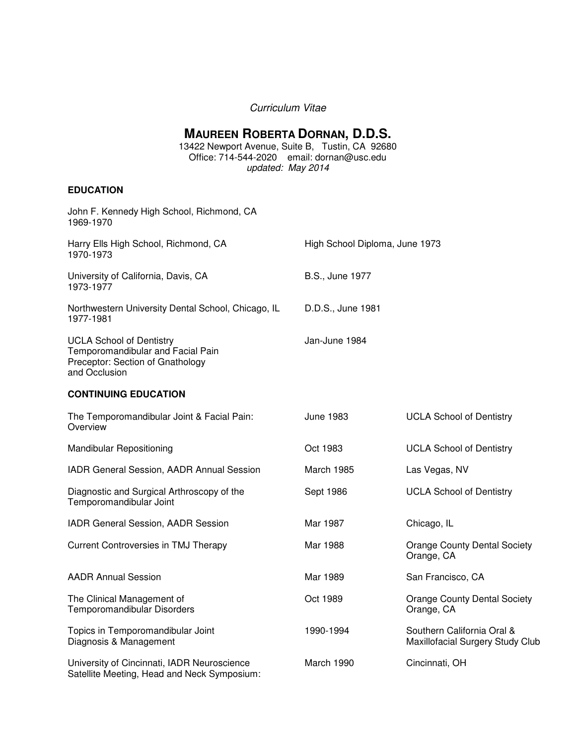## Curriculum Vitae

# **MAUREEN ROBERTA DORNAN, D.D.S.**

13422 Newport Avenue, Suite B, Tustin, CA 92680 Office: 714-544-2020 email: dornan@usc.edu updated: May 2014

## **EDUCATION**

| John F. Kennedy High School, Richmond, CA<br>1969-1970                                                                    |                                |                                                                |
|---------------------------------------------------------------------------------------------------------------------------|--------------------------------|----------------------------------------------------------------|
| Harry Ells High School, Richmond, CA<br>1970-1973                                                                         | High School Diploma, June 1973 |                                                                |
| University of California, Davis, CA<br>1973-1977                                                                          | B.S., June 1977                |                                                                |
| Northwestern University Dental School, Chicago, IL<br>1977-1981                                                           | D.D.S., June 1981              |                                                                |
| <b>UCLA School of Dentistry</b><br>Temporomandibular and Facial Pain<br>Preceptor: Section of Gnathology<br>and Occlusion | Jan-June 1984                  |                                                                |
| <b>CONTINUING EDUCATION</b>                                                                                               |                                |                                                                |
| The Temporomandibular Joint & Facial Pain:<br>Overview                                                                    | <b>June 1983</b>               | <b>UCLA School of Dentistry</b>                                |
| <b>Mandibular Repositioning</b>                                                                                           | Oct 1983                       | <b>UCLA School of Dentistry</b>                                |
| IADR General Session, AADR Annual Session                                                                                 | March 1985                     | Las Vegas, NV                                                  |
| Diagnostic and Surgical Arthroscopy of the<br>Temporomandibular Joint                                                     | Sept 1986                      | <b>UCLA School of Dentistry</b>                                |
| IADR General Session, AADR Session                                                                                        | Mar 1987                       | Chicago, IL                                                    |
| Current Controversies in TMJ Therapy                                                                                      | Mar 1988                       | <b>Orange County Dental Society</b><br>Orange, CA              |
| <b>AADR Annual Session</b>                                                                                                | Mar 1989                       | San Francisco, CA                                              |
| The Clinical Management of<br>Temporomandibular Disorders                                                                 | Oct 1989                       | <b>Orange County Dental Society</b><br>Orange, CA              |
| Topics in Temporomandibular Joint<br>Diagnosis & Management                                                               | 1990-1994                      | Southern California Oral &<br>Maxillofacial Surgery Study Club |
| University of Cincinnati, IADR Neuroscience<br>Satellite Meeting, Head and Neck Symposium:                                | March 1990                     | Cincinnati, OH                                                 |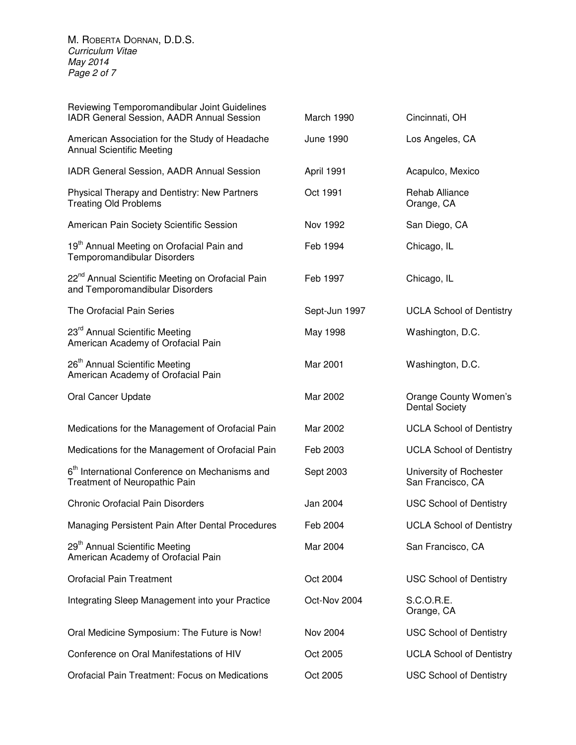M. ROBERTA DORNAN, D.D.S. Curriculum Vitae May 2014 Page 2 of 7

| Reviewing Temporomandibular Joint Guidelines<br>IADR General Session, AADR Annual Session       | March 1990    | Cincinnati, OH                                 |
|-------------------------------------------------------------------------------------------------|---------------|------------------------------------------------|
| American Association for the Study of Headache<br><b>Annual Scientific Meeting</b>              | June 1990     | Los Angeles, CA                                |
| IADR General Session, AADR Annual Session                                                       | April 1991    | Acapulco, Mexico                               |
| Physical Therapy and Dentistry: New Partners<br><b>Treating Old Problems</b>                    | Oct 1991      | <b>Rehab Alliance</b><br>Orange, CA            |
| American Pain Society Scientific Session                                                        | Nov 1992      | San Diego, CA                                  |
| 19 <sup>th</sup> Annual Meeting on Orofacial Pain and<br>Temporomandibular Disorders            | Feb 1994      | Chicago, IL                                    |
| 22 <sup>nd</sup> Annual Scientific Meeting on Orofacial Pain<br>and Temporomandibular Disorders | Feb 1997      | Chicago, IL                                    |
| The Orofacial Pain Series                                                                       | Sept-Jun 1997 | <b>UCLA School of Dentistry</b>                |
| 23 <sup>rd</sup> Annual Scientific Meeting<br>American Academy of Orofacial Pain                | May 1998      | Washington, D.C.                               |
| 26 <sup>th</sup> Annual Scientific Meeting<br>American Academy of Orofacial Pain                | Mar 2001      | Washington, D.C.                               |
| Oral Cancer Update                                                                              | Mar 2002      | Orange County Women's<br><b>Dental Society</b> |
| Medications for the Management of Orofacial Pain                                                | Mar 2002      | <b>UCLA School of Dentistry</b>                |
| Medications for the Management of Orofacial Pain                                                | Feb 2003      | <b>UCLA School of Dentistry</b>                |
| 6 <sup>th</sup> International Conference on Mechanisms and<br>Treatment of Neuropathic Pain     | Sept 2003     | University of Rochester<br>San Francisco, CA   |
| <b>Chronic Orofacial Pain Disorders</b>                                                         | Jan 2004      | <b>USC School of Dentistry</b>                 |
| Managing Persistent Pain After Dental Procedures                                                | Feb 2004      | <b>UCLA School of Dentistry</b>                |
| 29 <sup>th</sup> Annual Scientific Meeting<br>American Academy of Orofacial Pain                | Mar 2004      | San Francisco, CA                              |
| <b>Orofacial Pain Treatment</b>                                                                 | Oct 2004      | <b>USC School of Dentistry</b>                 |
| Integrating Sleep Management into your Practice                                                 | Oct-Nov 2004  | S.C.O.R.E.<br>Orange, CA                       |
| Oral Medicine Symposium: The Future is Now!                                                     | Nov 2004      | <b>USC School of Dentistry</b>                 |
| Conference on Oral Manifestations of HIV                                                        | Oct 2005      | <b>UCLA School of Dentistry</b>                |
| Orofacial Pain Treatment: Focus on Medications                                                  | Oct 2005      | <b>USC School of Dentistry</b>                 |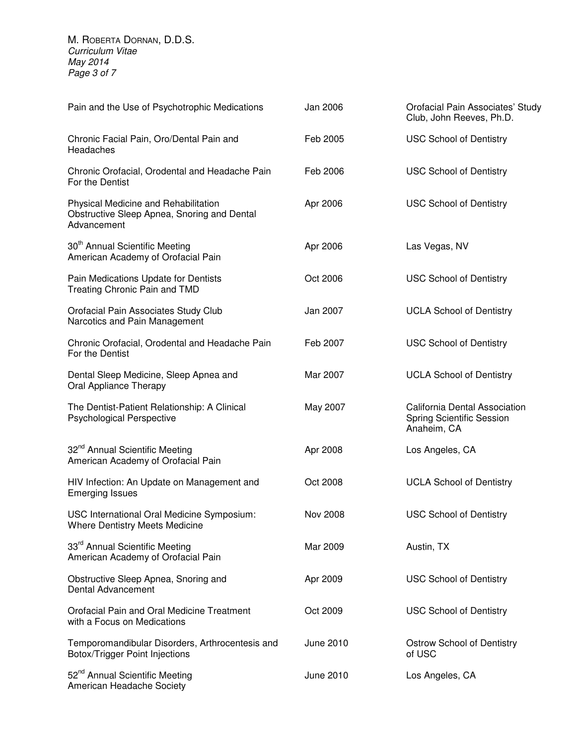M. ROBERTA DORNAN, D.D.S. Curriculum Vitae May 2014 Page 3 of 7

| Pain and the Use of Psychotrophic Medications                                                      | Jan 2006  | Orofacial Pain Associates' Study<br>Club, John Reeves, Ph.D.              |
|----------------------------------------------------------------------------------------------------|-----------|---------------------------------------------------------------------------|
| Chronic Facial Pain, Oro/Dental Pain and<br>Headaches                                              | Feb 2005  | <b>USC School of Dentistry</b>                                            |
| Chronic Orofacial, Orodental and Headache Pain<br>For the Dentist                                  | Feb 2006  | <b>USC School of Dentistry</b>                                            |
| Physical Medicine and Rehabilitation<br>Obstructive Sleep Apnea, Snoring and Dental<br>Advancement | Apr 2006  | <b>USC School of Dentistry</b>                                            |
| 30 <sup>th</sup> Annual Scientific Meeting<br>American Academy of Orofacial Pain                   | Apr 2006  | Las Vegas, NV                                                             |
| Pain Medications Update for Dentists<br>Treating Chronic Pain and TMD                              | Oct 2006  | <b>USC School of Dentistry</b>                                            |
| Orofacial Pain Associates Study Club<br>Narcotics and Pain Management                              | Jan 2007  | <b>UCLA School of Dentistry</b>                                           |
| Chronic Orofacial, Orodental and Headache Pain<br>For the Dentist                                  | Feb 2007  | <b>USC School of Dentistry</b>                                            |
| Dental Sleep Medicine, Sleep Apnea and<br><b>Oral Appliance Therapy</b>                            | Mar 2007  | <b>UCLA School of Dentistry</b>                                           |
| The Dentist-Patient Relationship: A Clinical<br><b>Psychological Perspective</b>                   | May 2007  | California Dental Association<br>Spring Scientific Session<br>Anaheim, CA |
| 32 <sup>nd</sup> Annual Scientific Meeting<br>American Academy of Orofacial Pain                   | Apr 2008  | Los Angeles, CA                                                           |
| HIV Infection: An Update on Management and<br><b>Emerging Issues</b>                               | Oct 2008  | <b>UCLA School of Dentistry</b>                                           |
| USC International Oral Medicine Symposium:<br>Where Dentistry Meets Medicine                       | Nov 2008  | <b>USC School of Dentistry</b>                                            |
| 33 <sup>rd</sup> Annual Scientific Meeting<br>American Academy of Orofacial Pain                   | Mar 2009  | Austin, TX                                                                |
| Obstructive Sleep Apnea, Snoring and<br>Dental Advancement                                         | Apr 2009  | <b>USC School of Dentistry</b>                                            |
| Orofacial Pain and Oral Medicine Treatment<br>with a Focus on Medications                          | Oct 2009  | <b>USC School of Dentistry</b>                                            |
| Temporomandibular Disorders, Arthrocentesis and<br>Botox/Trigger Point Injections                  | June 2010 | <b>Ostrow School of Dentistry</b><br>of USC                               |
| 52 <sup>nd</sup> Annual Scientific Meeting<br>American Headache Society                            | June 2010 | Los Angeles, CA                                                           |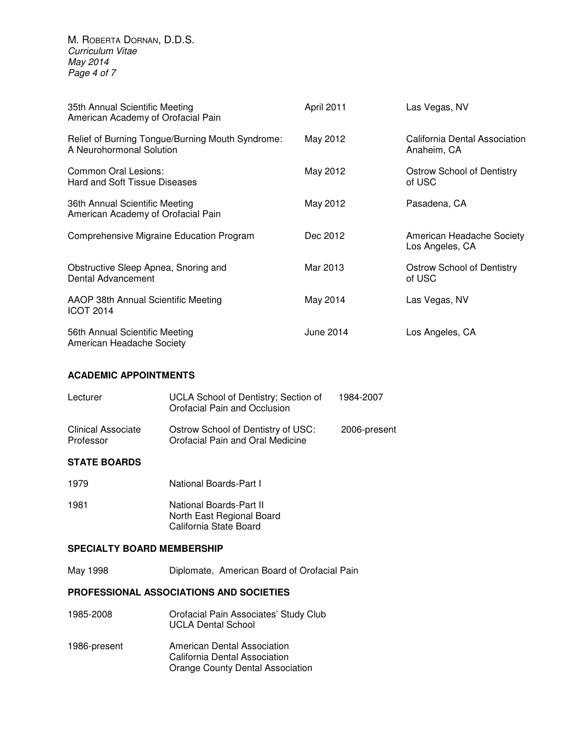M. ROBERTA DORNAN, D.D.S. Curriculum Vitae May 2014 Page 4 of 7

| 35th Annual Scientific Meeting<br>American Academy of Orofacial Pain         | April 2011 | Las Vegas, NV                                |
|------------------------------------------------------------------------------|------------|----------------------------------------------|
| Relief of Burning Tongue/Burning Mouth Syndrome:<br>A Neurohormonal Solution | May 2012   | California Dental Association<br>Anaheim, CA |
| Common Oral Lesions:<br>Hard and Soft Tissue Diseases                        | May 2012   | Ostrow School of Dentistry<br>of USC         |
| 36th Annual Scientific Meeting<br>American Academy of Orofacial Pain         | May 2012   | Pasadena, CA                                 |
| Comprehensive Migraine Education Program                                     | Dec 2012   | American Headache Society<br>Los Angeles, CA |
| Obstructive Sleep Apnea, Snoring and<br>Dental Advancement                   | Mar 2013   | <b>Ostrow School of Dentistry</b><br>of USC  |
| AAOP 38th Annual Scientific Meeting<br><b>ICOT 2014</b>                      | May 2014   | Las Vegas, NV                                |
| 56th Annual Scientific Meeting<br>American Headache Society                  | June 2014  | Los Angeles, CA                              |

#### **ACADEMIC APPOINTMENTS**

| Lecturer                        | UCLA School of Dentistry; Section of<br>Orofacial Pain and Occlusion   | 1984-2007    |
|---------------------------------|------------------------------------------------------------------------|--------------|
| Clinical Associate<br>Professor | Ostrow School of Dentistry of USC:<br>Orofacial Pain and Oral Medicine | 2006-present |

#### **STATE BOARDS**

- 1979 National Boards-Part I 1981 **National Boards-Part II** 
	- North East Regional Board California State Board

#### **SPECIALTY BOARD MEMBERSHIP**

May 1998 Diplomate, American Board of Orofacial Pain

## **PROFESSIONAL ASSOCIATIONS AND SOCIETIES**

- 1985-2008 Orofacial Pain Associates' Study Club UCLA Dental School
- 1986-present American Dental Association California Dental Association Orange County Dental Association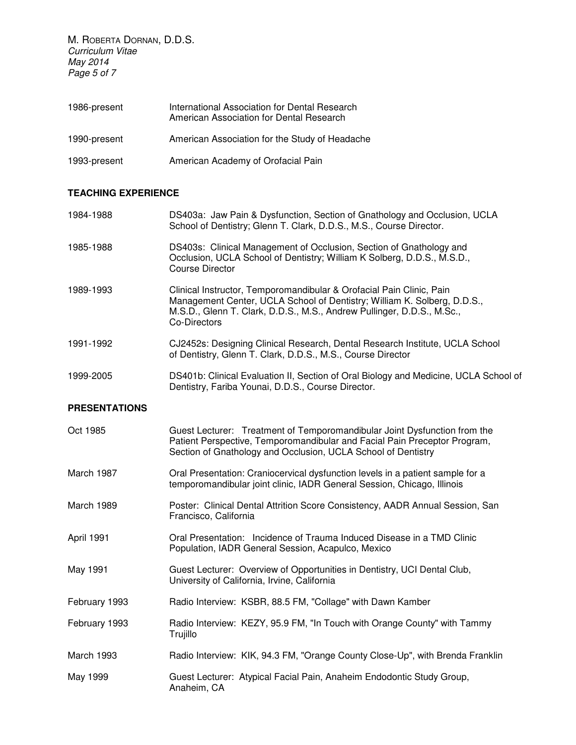M. ROBERTA DORNAN, D.D.S. Curriculum Vitae May 2014 Page 5 of 7

| 1986-present | International Association for Dental Research<br>American Association for Dental Research |
|--------------|-------------------------------------------------------------------------------------------|
| 1990-present | American Association for the Study of Headache                                            |
| 1993-present | American Academy of Orofacial Pain                                                        |

## **TEACHING EXPERIENCE**

| 1984-1988            | DS403a: Jaw Pain & Dysfunction, Section of Gnathology and Occlusion, UCLA<br>School of Dentistry; Glenn T. Clark, D.D.S., M.S., Course Director.                                                                                           |
|----------------------|--------------------------------------------------------------------------------------------------------------------------------------------------------------------------------------------------------------------------------------------|
| 1985-1988            | DS403s: Clinical Management of Occlusion, Section of Gnathology and<br>Occlusion, UCLA School of Dentistry; William K Solberg, D.D.S., M.S.D.,<br><b>Course Director</b>                                                                   |
| 1989-1993            | Clinical Instructor, Temporomandibular & Orofacial Pain Clinic, Pain<br>Management Center, UCLA School of Dentistry; William K. Solberg, D.D.S.,<br>M.S.D., Glenn T. Clark, D.D.S., M.S., Andrew Pullinger, D.D.S., M.Sc.,<br>Co-Directors |
| 1991-1992            | CJ2452s: Designing Clinical Research, Dental Research Institute, UCLA School<br>of Dentistry, Glenn T. Clark, D.D.S., M.S., Course Director                                                                                                |
| 1999-2005            | DS401b: Clinical Evaluation II, Section of Oral Biology and Medicine, UCLA School of<br>Dentistry, Fariba Younai, D.D.S., Course Director.                                                                                                 |
| <b>PRESENTATIONS</b> |                                                                                                                                                                                                                                            |
| Oct 1985             | Guest Lecturer: Treatment of Temporomandibular Joint Dysfunction from the<br>Patient Perspective, Temporomandibular and Facial Pain Preceptor Program,<br>Section of Gnathology and Occlusion, UCLA School of Dentistry                    |
| March 1987           | Oral Presentation: Craniocervical dysfunction levels in a patient sample for a<br>temporomandibular joint clinic, IADR General Session, Chicago, Illinois                                                                                  |
| March 1989           | Poster: Clinical Dental Attrition Score Consistency, AADR Annual Session, San<br>Francisco, California                                                                                                                                     |
| April 1991           | Oral Presentation: Incidence of Trauma Induced Disease in a TMD Clinic<br>Population, IADR General Session, Acapulco, Mexico                                                                                                               |
| May 1991             | Guest Lecturer: Overview of Opportunities in Dentistry, UCI Dental Club,<br>University of California, Irvine, California                                                                                                                   |
| February 1993        | Radio Interview: KSBR, 88.5 FM, "Collage" with Dawn Kamber                                                                                                                                                                                 |
| February 1993        | Radio Interview: KEZY, 95.9 FM, "In Touch with Orange County" with Tammy<br>Trujillo                                                                                                                                                       |
| March 1993           | Radio Interview: KIK, 94.3 FM, "Orange County Close-Up", with Brenda Franklin                                                                                                                                                              |
| May 1999             | Guest Lecturer: Atypical Facial Pain, Anaheim Endodontic Study Group,<br>Anaheim, CA                                                                                                                                                       |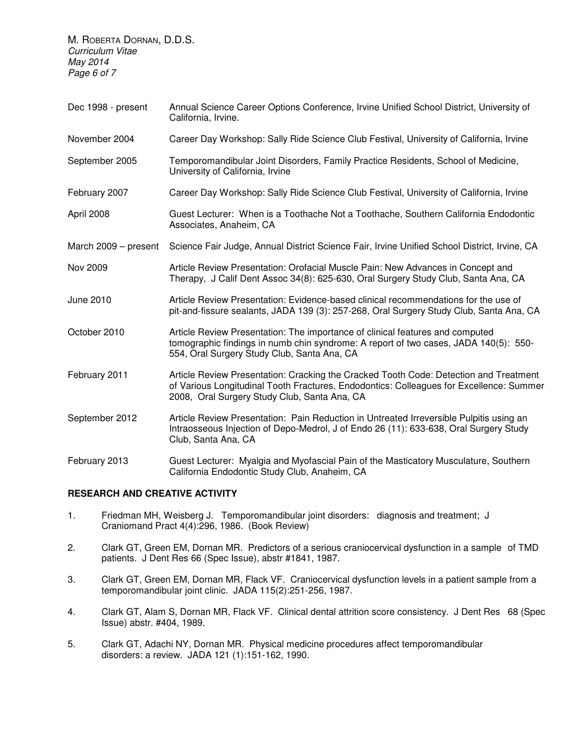M. ROBERTA DORNAN, D.D.S. Curriculum Vitae May 2014 Page 6 of 7

Dec 1998 - present Annual Science Career Options Conference, Irvine Unified School District, University of California, Irvine. November 2004 Career Day Workshop: Sally Ride Science Club Festival, University of California, Irvine September 2005 Temporomandibular Joint Disorders, Family Practice Residents, School of Medicine, University of California, Irvine February 2007 Career Day Workshop: Sally Ride Science Club Festival, University of California, Irvine April 2008 Guest Lecturer: When is a Toothache Not a Toothache, Southern California Endodontic Associates, Anaheim, CA March 2009 – present Science Fair Judge, Annual District Science Fair, Irvine Unified School District, Irvine, CA Nov 2009 Article Review Presentation: Orofacial Muscle Pain: New Advances in Concept and Therapy, J Calif Dent Assoc 34(8): 625-630, Oral Surgery Study Club, Santa Ana, CA June 2010 Article Review Presentation: Evidence-based clinical recommendations for the use of pit-and-fissure sealants, JADA 139 (3): 257-268, Oral Surgery Study Club, Santa Ana, CA October 2010 Article Review Presentation: The importance of clinical features and computed tomographic findings in numb chin syndrome: A report of two cases, JADA 140(5): 550- 554, Oral Surgery Study Club, Santa Ana, CA February 2011 Article Review Presentation: Cracking the Cracked Tooth Code: Detection and Treatment of Various Longitudinal Tooth Fractures, Endodontics: Colleagues for Excellence: Summer 2008, Oral Surgery Study Club, Santa Ana, CA September 2012 Article Review Presentation: Pain Reduction in Untreated Irreversible Pulpitis using an Intraosseous Injection of Depo-Medrol, J of Endo 26 (11): 633-638, Oral Surgery Study Club, Santa Ana, CA February 2013 Guest Lecturer: Myalgia and Myofascial Pain of the Masticatory Musculature, Southern California Endodontic Study Club, Anaheim, CA

#### **RESEARCH AND CREATIVE ACTIVITY**

- 1. Friedman MH, Weisberg J. Temporomandibular joint disorders: diagnosis and treatment; J Craniomand Pract 4(4):296, 1986. (Book Review)
- 2. Clark GT, Green EM, Dornan MR. Predictors of a serious craniocervical dysfunction in a sample of TMD patients. J Dent Res 66 (Spec Issue), abstr #1841, 1987.
- 3. Clark GT, Green EM, Dornan MR, Flack VF. Craniocervical dysfunction levels in a patient sample from a temporomandibular joint clinic. JADA 115(2):251-256, 1987.
- 4. Clark GT, Alam S, Dornan MR, Flack VF. Clinical dental attrition score consistency. J Dent Res 68 (Spec Issue) abstr. #404, 1989.
- 5. Clark GT, Adachi NY, Dornan MR. Physical medicine procedures affect temporomandibular disorders: a review. JADA 121 (1):151-162, 1990.